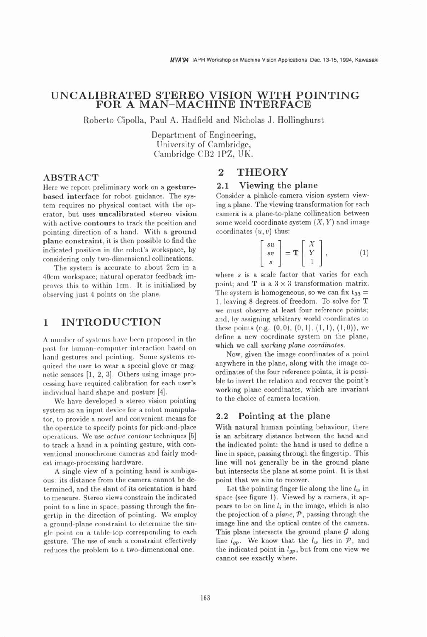# **UNCALIBRATED STEREO VISION WITH POINTING FOR A MAN-MACHINE INTERFACE**

Roberto Cipolla, Paul **A.** Hadfield and Nicholas J. Hollinghurst

Department of Engineering, University of Cambridge, Cambridge CB2 1PZ, UK.

### **ABSTRACT**

Here we report preliminary work on a gesturebased interface for robot guidance. The system requires no physical contact with the op erator, but uses uncalibrated stereo vision with active contours to track the position and pointing direction of a hand. With a ground plane constraint, it is then possible to find the indicated position in the robot's workspace, by considering only two-dimensional collineations.

The system is accurate to about 2cm in a 40cm workspace; natural operator feedback improves this to within Icm. It is initialised by observing just 4 points on the plane.

### **1 INTRODUCTION**

A number of systems have been proposed in the past, for human-computer interaction based on hand gestures and pointing. Some systems required the user to wear a special glove or magnetic sensors [I, 2, **31.** Others using image processing have required calibration for each user's individual hand shape and posture **[4].** 

We have developed a stereo vision pointing system as an input device for a robot manipulator, to provide a novel and convenient means for the operator to specify points for pick-and-place operations. We use active contour techniques [5] to track a hand in a pointing gesture, with conventional monochrome cameras and fairly modest image-processing hardware.

**A** single view of a pointing hand is ambiguous: its distance from the camera cannot be determined, and the slant of its orientation is hard to measure. Stereo views constrain the indicated point to a line in space, passing through the fingertip in the direction of pointing. We employ a ground-plane constraint to determine the single point on a table-top corresponding to each gesture. The use of such a constraint effectively reduces the problem to a two-dimensional one.

# **2 THEORY**

#### **2.1 Viewing the plane**

Consider a pinhole-camera vision system viewing a plane. The viewing transformation for each camera is a plane-to-plane collineation between some world coordinate system  $(X, Y)$  and image coordinates  $(u, v)$  thus:

$$
\left[\begin{array}{c}su\\sv\\s\end{array}\right]=\mathbf{T}\left[\begin{array}{c}X\\Y\\1\end{array}\right],\qquad(1)
$$

where **s** is a scale factor that varies for each point; and **T** is a  $3 \times 3$  transformation matrix. The system is homogeneous, so we can fix  $t_{33}$  = 1, leaving 8 degrees of freedom. To solve for T we must observe at least four reference points; and, by assigning arbitrary world coordinates to these points (e.g.  $(0, 0)$ ,  $(0, 1)$ ,  $(1, 1)$ ,  $(1, 0)$ ), we define a new coordinate system on the plane, which we call working plane coordinates.

Now, given the image coordinates of a point anywhere in the plane, along with the image coordinates of the four reference points, it is possible to invert the relation and recover the point's working plane coordinates, which are invariant to the choice of camera location.

#### **2.2 Pointing at the plane**

With natural human pointing behaviour, there is an arbitrary distance between the hand and the indicated point: the hand is used to define a line in space, passing through the fingertip. This line will not generally be in the ground plane but intersects the plane at some point. It is that point that we aim to recover.

Let the pointing finger lie along the line  $l_w$  in space (see figure 1). Viewed by a camera, it appcnrs to bc on line *li* in the image, which is also the projection of a plane,  $P$ , passing through the image line and the optical centre of the camera. This plane intersects the ground plane *G* along line  $l_{gp}$ . We know that the  $l_w$  lies in  $P$ , and the indicated point in  $l_{gp}$ , but from one view we cannot see exactly where.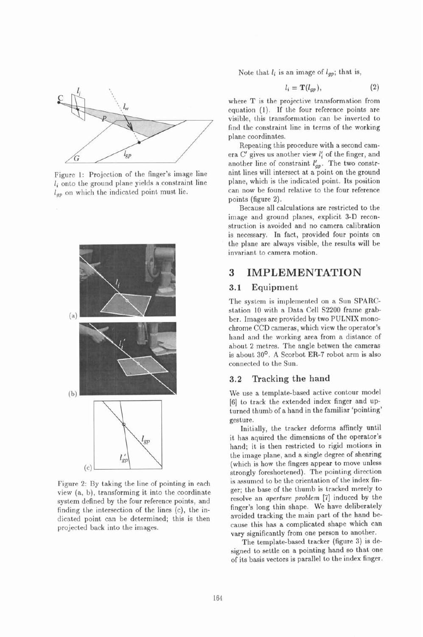

Figure 1: Projection of the finger's image line *li* onto the ground plane yields a constraint line **lgp** on which the indicated point must lie.



view  $(a, b)$ , transforming it into the coordinate ger; the base of the thumb is tracked merely to resolve an *aperture problem* [7] induced by the system defined by the four reference points, and<br>finger's long thin shape. We have deliberately finding the intersection of the lines  $(c)$ , the indicated point can be determined; this is then avoided tracking the main part of the hand beprojected back into the images. cause this has a complicated shape which can

Note that  $l_i$  is an image of  $l_{qp}$ ; that is,

$$
l_i = \mathbf{T}(l_{gp}),\tag{2}
$$

where T is the projective transformation from equation (1). If the four reference points arc visible, this transformation can be inverted to find the constraint line in terms of the working plane coordinates.

Repeating this procedure with a second camera C' gives us another view *1:* of the finger, and another line of constraint  $l'_{gp}$ . The two constraint lines will intersect at a point on the ground plane, which is the indicated point. Its position can now be found relative to the four reference points (figure 2).

Because all calculations are restricted to the image and ground planes, explicit **3-D** reconstruction is avoided and no camera calibration is necessary. In fact, provided four points on the plane are always visible, the results will be invariant to camera motion.

# **3 IMPLEMENTATION**

### **3.1 Equipment**

The system is implemented on a Sun SPARCstation 10 with a Data Cell S2200 frame grabber. Images are provided by two PULNIX monochrome CCD cameras, which view the operator's hand and the working area from a distance of about 2 metres. The angle betwen the cameras is about 30°. A Scorbot ER-7 robot arm is also connected to the Sun.

# **3.2 Tracking the hand**

We use a template-based active contour model [6] to track the extended index finger and upturned thumb of a hand in the familiar 'pointing' gesture.

Initially, the tracker deforms affinely until it has aquired the dimensions of the operator's hand; it is then restricted to rigid motions in the image plane, and a single degree of shearing  $\begin{array}{c|c}\n\hline\nI_{gp} & \downarrow \\
\hline\n\end{array}$  (c)  $\begin{array}{c|c}\nI_{gp} & \downarrow \\
\hline\n\end{array}$  (which is how the fingers appear to move unless strongly foreshortened). The pointing direction Figure 2: By taking the line of pointing in each  $\frac{1}{2}$  is assumed to be the orientation of the index fin-<br>view (a, b) transforming it into the coordinate er: the base of the thumb is tracked merely to vary significantly from one person to another.

The template-based tracker (figure **3)** is designed to settle on a pointing hand so that one of its basis vectors is parallel to the index finger.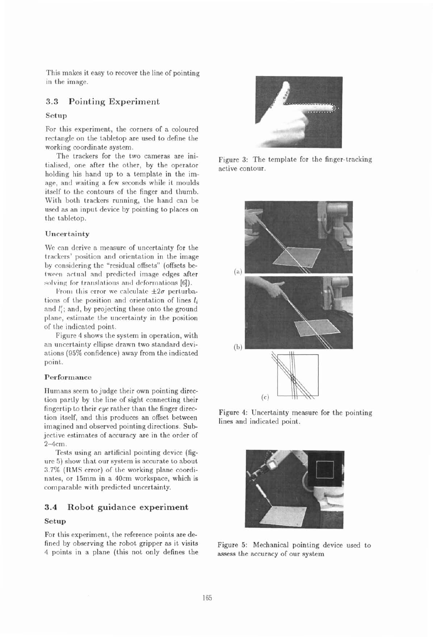This makes it easy to recover the line of pointing in the image.

#### 3.3 Pointing Experiment

#### Setup

For this experiment, the corners of a coloured rectangle on the tabletop are used to define the working coordinate system.

The trackers for the two cameras are initialised, one after the other, by the operator holding his hand up to a template in the image, and waiting a few seconds while it moulds itself to the contours of the finger and thumb. With both trackers running, the hand can be used **as** an input device by pointing to places on the tabletop.

#### Uncertainty

We can derive a measure of uncertainty for the trackers' position and orientation in the image by considering the "residual offsets" (offsets between actual and predicted image edges after<br>solving for translations and deformations [6]). solving for translations and deformations [6]).<br>I'rom this error we calculate  $\pm 2\sigma$  perturba-

tions of the position and orientation of lines *li*  and  $l_i$ ; and, by projecting these onto the ground plane, estimate the uncertainty in the position of the indicated point.

Figure 4 shows the system in operation, with an uncertainty ellipse drawn two standard deviations (95% confidence) away from the indicated point,.

#### Performance

IIumans seem to judge their own pointing direction partly by the line of sight connecting their fingertip to their eye rather than the finger direction itself, and this produces an offset between imagined and observed pointing directions. Subjective estimates of accuracy are in the order of 2-4cm.

Tests using an artificial pointing device (figure 5) show that our system is accurate to about 3.7% (RMS error) of the working plane coordinates, or 15mm in a 40cm workspace, which is comparable with predicted uncertainty.

### **3.4 Robot guidance experiment**

#### Setup

For this experiment, the reference points are defined by observing the robot gripper as it visits Figure **5:** Mechanical pointing device used to **4** points in a plane (this not only defines the assess the accuracy of our system



Figure **3:** The template for the finger-tracking active contour.



Figure 4: Uncertainty measure for the pointing lines and indicated point.